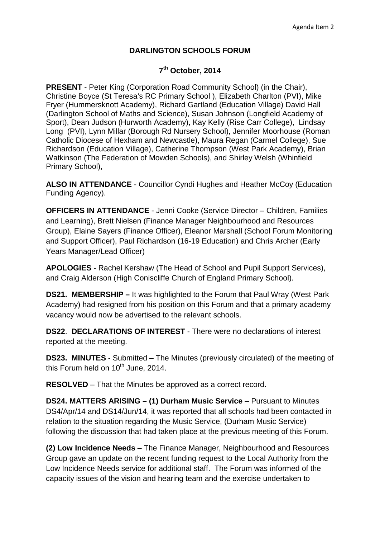## **DARLINGTON SCHOOLS FORUM**

## **7th October, 2014**

**PRESENT** - Peter King (Corporation Road Community School) (in the Chair), Christine Boyce (St Teresa's RC Primary School ), Elizabeth Charlton (PVI), Mike Fryer (Hummersknott Academy), Richard Gartland (Education Village) David Hall (Darlington School of Maths and Science), Susan Johnson (Longfield Academy of Sport), Dean Judson (Hurworth Academy), Kay Kelly (Rise Carr College), Lindsay Long (PVI), Lynn Millar (Borough Rd Nursery School), Jennifer Moorhouse (Roman Catholic Diocese of Hexham and Newcastle), Maura Regan (Carmel College), Sue Richardson (Education Village), Catherine Thompson (West Park Academy), Brian Watkinson (The Federation of Mowden Schools), and Shirley Welsh (Whinfield Primary School),

**ALSO IN ATTENDANCE** - Councillor Cyndi Hughes and Heather McCoy (Education Funding Agency).

**OFFICERS IN ATTENDANCE** - Jenni Cooke (Service Director – Children, Families and Learning), Brett Nielsen (Finance Manager Neighbourhood and Resources Group), Elaine Sayers (Finance Officer), Eleanor Marshall (School Forum Monitoring and Support Officer), Paul Richardson (16-19 Education) and Chris Archer (Early Years Manager/Lead Officer)

**APOLOGIES** - Rachel Kershaw (The Head of School and Pupil Support Services), and Craig Alderson (High Coniscliffe Church of England Primary School).

**DS21. MEMBERSHIP –** It was highlighted to the Forum that Paul Wray (West Park Academy) had resigned from his position on this Forum and that a primary academy vacancy would now be advertised to the relevant schools.

**DS22**. **DECLARATIONS OF INTEREST** - There were no declarations of interest reported at the meeting.

**DS23. MINUTES** - Submitted – The Minutes (previously circulated) of the meeting of this Forum held on  $10^{th}$  June, 2014.

**RESOLVED** – That the Minutes be approved as a correct record.

**DS24. MATTERS ARISING – (1) Durham Music Service** – Pursuant to Minutes DS4/Apr/14 and DS14/Jun/14, it was reported that all schools had been contacted in relation to the situation regarding the Music Service, (Durham Music Service) following the discussion that had taken place at the previous meeting of this Forum.

**(2) Low Incidence Needs** – The Finance Manager, Neighbourhood and Resources Group gave an update on the recent funding request to the Local Authority from the Low Incidence Needs service for additional staff. The Forum was informed of the capacity issues of the vision and hearing team and the exercise undertaken to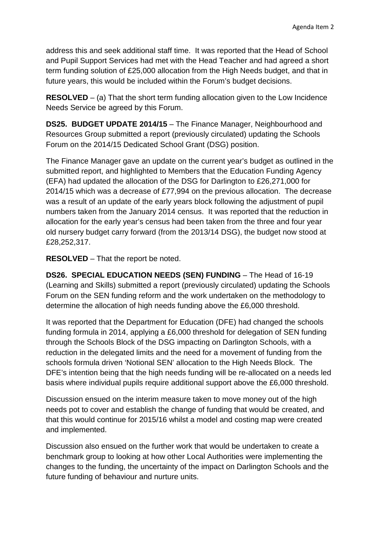address this and seek additional staff time. It was reported that the Head of School and Pupil Support Services had met with the Head Teacher and had agreed a short term funding solution of £25,000 allocation from the High Needs budget, and that in future years, this would be included within the Forum's budget decisions.

**RESOLVED** – (a) That the short term funding allocation given to the Low Incidence Needs Service be agreed by this Forum.

**DS25. BUDGET UPDATE 2014/15** – The Finance Manager, Neighbourhood and Resources Group submitted a report (previously circulated) updating the Schools Forum on the 2014/15 Dedicated School Grant (DSG) position.

The Finance Manager gave an update on the current year's budget as outlined in the submitted report, and highlighted to Members that the Education Funding Agency (EFA) had updated the allocation of the DSG for Darlington to £26,271,000 for 2014/15 which was a decrease of £77,994 on the previous allocation. The decrease was a result of an update of the early years block following the adjustment of pupil numbers taken from the January 2014 census. It was reported that the reduction in allocation for the early year's census had been taken from the three and four year old nursery budget carry forward (from the 2013/14 DSG), the budget now stood at £28,252,317.

**RESOLVED** – That the report be noted.

**DS26. SPECIAL EDUCATION NEEDS (SEN) FUNDING** – The Head of 16-19 (Learning and Skills) submitted a report (previously circulated) updating the Schools Forum on the SEN funding reform and the work undertaken on the methodology to determine the allocation of high needs funding above the £6,000 threshold.

It was reported that the Department for Education (DFE) had changed the schools funding formula in 2014, applying a £6,000 threshold for delegation of SEN funding through the Schools Block of the DSG impacting on Darlington Schools, with a reduction in the delegated limits and the need for a movement of funding from the schools formula driven 'Notional SEN' allocation to the High Needs Block. The DFE's intention being that the high needs funding will be re-allocated on a needs led basis where individual pupils require additional support above the £6,000 threshold.

Discussion ensued on the interim measure taken to move money out of the high needs pot to cover and establish the change of funding that would be created, and that this would continue for 2015/16 whilst a model and costing map were created and implemented.

Discussion also ensued on the further work that would be undertaken to create a benchmark group to looking at how other Local Authorities were implementing the changes to the funding, the uncertainty of the impact on Darlington Schools and the future funding of behaviour and nurture units.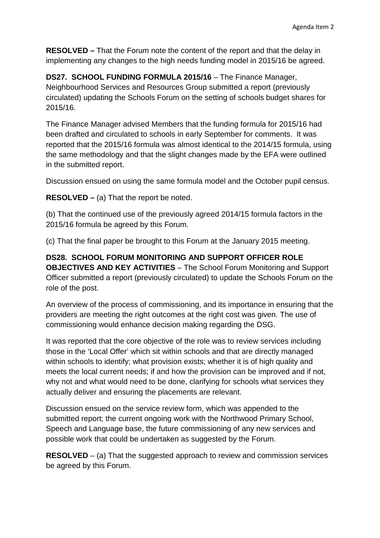**RESOLVED –** That the Forum note the content of the report and that the delay in implementing any changes to the high needs funding model in 2015/16 be agreed.

**DS27. SCHOOL FUNDING FORMULA 2015/16** – The Finance Manager, Neighbourhood Services and Resources Group submitted a report (previously circulated) updating the Schools Forum on the setting of schools budget shares for 2015/16.

The Finance Manager advised Members that the funding formula for 2015/16 had been drafted and circulated to schools in early September for comments. It was reported that the 2015/16 formula was almost identical to the 2014/15 formula, using the same methodology and that the slight changes made by the EFA were outlined in the submitted report.

Discussion ensued on using the same formula model and the October pupil census.

**RESOLVED –** (a) That the report be noted.

(b) That the continued use of the previously agreed 2014/15 formula factors in the 2015/16 formula be agreed by this Forum.

(c) That the final paper be brought to this Forum at the January 2015 meeting.

**DS28. SCHOOL FORUM MONITORING AND SUPPORT OFFICER ROLE OBJECTIVES AND KEY ACTIVITIES** – The School Forum Monitoring and Support Officer submitted a report (previously circulated) to update the Schools Forum on the role of the post.

An overview of the process of commissioning, and its importance in ensuring that the providers are meeting the right outcomes at the right cost was given. The use of commissioning would enhance decision making regarding the DSG.

It was reported that the core objective of the role was to review services including those in the 'Local Offer' which sit within schools and that are directly managed within schools to identify; what provision exists; whether it is of high quality and meets the local current needs; if and how the provision can be improved and if not, why not and what would need to be done, clarifying for schools what services they actually deliver and ensuring the placements are relevant.

Discussion ensued on the service review form, which was appended to the submitted report; the current ongoing work with the Northwood Primary School, Speech and Language base, the future commissioning of any new services and possible work that could be undertaken as suggested by the Forum.

**RESOLVED** – (a) That the suggested approach to review and commission services be agreed by this Forum.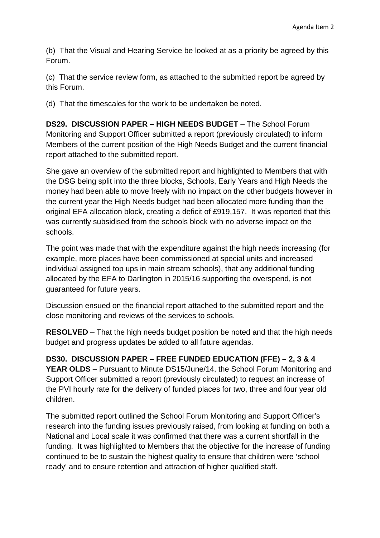(b) That the Visual and Hearing Service be looked at as a priority be agreed by this Forum.

(c) That the service review form, as attached to the submitted report be agreed by this Forum.

(d) That the timescales for the work to be undertaken be noted.

**DS29. DISCUSSION PAPER – HIGH NEEDS BUDGET** – The School Forum Monitoring and Support Officer submitted a report (previously circulated) to inform Members of the current position of the High Needs Budget and the current financial report attached to the submitted report.

She gave an overview of the submitted report and highlighted to Members that with the DSG being split into the three blocks, Schools, Early Years and High Needs the money had been able to move freely with no impact on the other budgets however in the current year the High Needs budget had been allocated more funding than the original EFA allocation block, creating a deficit of £919,157. It was reported that this was currently subsidised from the schools block with no adverse impact on the schools.

The point was made that with the expenditure against the high needs increasing (for example, more places have been commissioned at special units and increased individual assigned top ups in main stream schools), that any additional funding allocated by the EFA to Darlington in 2015/16 supporting the overspend, is not guaranteed for future years.

Discussion ensued on the financial report attached to the submitted report and the close monitoring and reviews of the services to schools.

**RESOLVED** – That the high needs budget position be noted and that the high needs budget and progress updates be added to all future agendas.

**DS30. DISCUSSION PAPER – FREE FUNDED EDUCATION (FFE) – 2, 3 & 4 YEAR OLDS** – Pursuant to Minute DS15/June/14, the School Forum Monitoring and Support Officer submitted a report (previously circulated) to request an increase of the PVI hourly rate for the delivery of funded places for two, three and four year old children.

The submitted report outlined the School Forum Monitoring and Support Officer's research into the funding issues previously raised, from looking at funding on both a National and Local scale it was confirmed that there was a current shortfall in the funding. It was highlighted to Members that the objective for the increase of funding continued to be to sustain the highest quality to ensure that children were 'school ready' and to ensure retention and attraction of higher qualified staff.